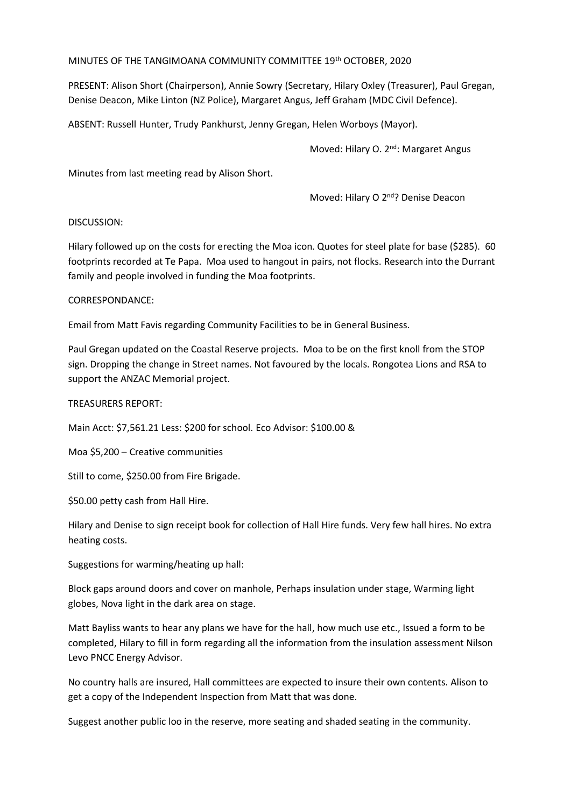MINUTES OF THE TANGIMOANA COMMUNITY COMMITTEE 19th OCTOBER, 2020

PRESENT: Alison Short (Chairperson), Annie Sowry (Secretary, Hilary Oxley (Treasurer), Paul Gregan, Denise Deacon, Mike Linton (NZ Police), Margaret Angus, Jeff Graham (MDC Civil Defence).

ABSENT: Russell Hunter, Trudy Pankhurst, Jenny Gregan, Helen Worboys (Mayor).

Moved: Hilary O. 2<sup>nd</sup>: Margaret Angus

Minutes from last meeting read by Alison Short.

Moved: Hilary O 2<sup>nd</sup>? Denise Deacon

## DISCUSSION:

Hilary followed up on the costs for erecting the Moa icon. Quotes for steel plate for base (\$285). 60 footprints recorded at Te Papa. Moa used to hangout in pairs, not flocks. Research into the Durrant family and people involved in funding the Moa footprints.

## CORRESPONDANCE:

Email from Matt Favis regarding Community Facilities to be in General Business.

Paul Gregan updated on the Coastal Reserve projects. Moa to be on the first knoll from the STOP sign. Dropping the change in Street names. Not favoured by the locals. Rongotea Lions and RSA to support the ANZAC Memorial project.

TREASURERS REPORT:

Main Acct: \$7,561.21 Less: \$200 for school. Eco Advisor: \$100.00 &

Moa \$5,200 – Creative communities

Still to come, \$250.00 from Fire Brigade.

\$50.00 petty cash from Hall Hire.

Hilary and Denise to sign receipt book for collection of Hall Hire funds. Very few hall hires. No extra heating costs.

Suggestions for warming/heating up hall:

Block gaps around doors and cover on manhole, Perhaps insulation under stage, Warming light globes, Nova light in the dark area on stage.

Matt Bayliss wants to hear any plans we have for the hall, how much use etc., Issued a form to be completed, Hilary to fill in form regarding all the information from the insulation assessment Nilson Levo PNCC Energy Advisor.

No country halls are insured, Hall committees are expected to insure their own contents. Alison to get a copy of the Independent Inspection from Matt that was done.

Suggest another public loo in the reserve, more seating and shaded seating in the community.